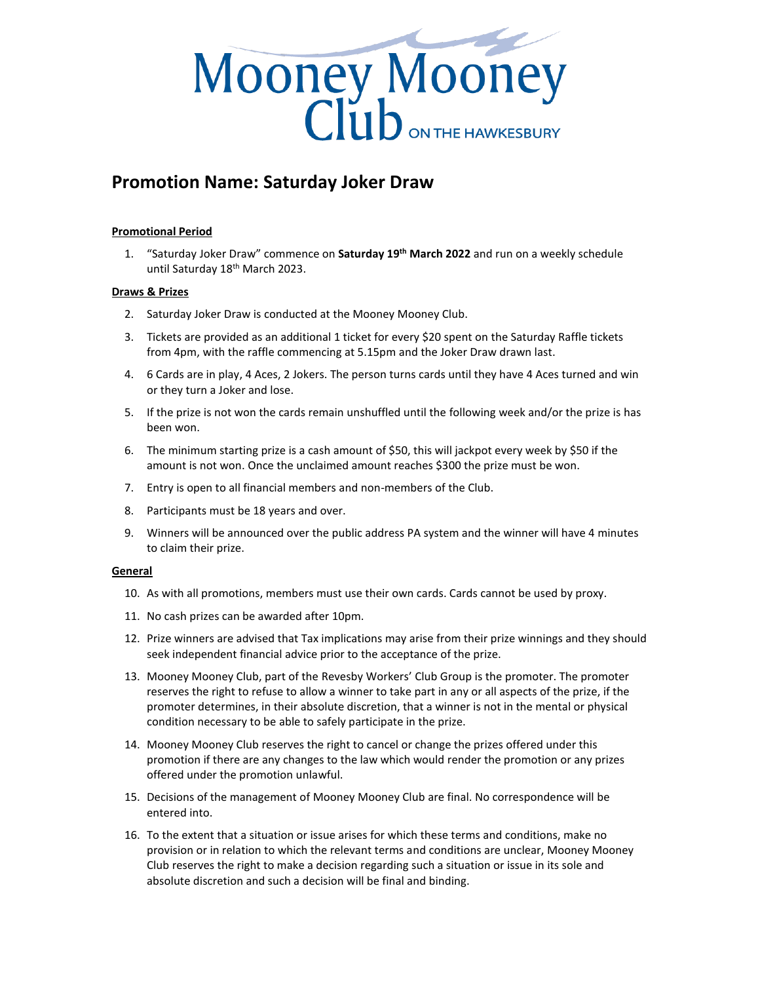

## **Promotion Name: Saturday Joker Draw**

## **Promotional Period**

1. "Saturday Joker Draw" commence on **Saturday 19th March 2022** and run on a weekly schedule until Saturday 18<sup>th</sup> March 2023.

## **Draws & Prizes**

- 2. Saturday Joker Draw is conducted at the Mooney Mooney Club.
- 3. Tickets are provided as an additional 1 ticket for every \$20 spent on the Saturday Raffle tickets from 4pm, with the raffle commencing at 5.15pm and the Joker Draw drawn last.
- 4. 6 Cards are in play, 4 Aces, 2 Jokers. The person turns cards until they have 4 Aces turned and win or they turn a Joker and lose.
- 5. If the prize is not won the cards remain unshuffled until the following week and/or the prize is has been won.
- 6. The minimum starting prize is a cash amount of \$50, this will jackpot every week by \$50 if the amount is not won. Once the unclaimed amount reaches \$300 the prize must be won.
- 7. Entry is open to all financial members and non-members of the Club.
- 8. Participants must be 18 years and over.
- 9. Winners will be announced over the public address PA system and the winner will have 4 minutes to claim their prize.

## **General**

- 10. As with all promotions, members must use their own cards. Cards cannot be used by proxy.
- 11. No cash prizes can be awarded after 10pm.
- 12. Prize winners are advised that Tax implications may arise from their prize winnings and they should seek independent financial advice prior to the acceptance of the prize.
- 13. Mooney Mooney Club, part of the Revesby Workers' Club Group is the promoter. The promoter reserves the right to refuse to allow a winner to take part in any or all aspects of the prize, if the promoter determines, in their absolute discretion, that a winner is not in the mental or physical condition necessary to be able to safely participate in the prize.
- 14. Mooney Mooney Club reserves the right to cancel or change the prizes offered under this promotion if there are any changes to the law which would render the promotion or any prizes offered under the promotion unlawful.
- 15. Decisions of the management of Mooney Mooney Club are final. No correspondence will be entered into.
- 16. To the extent that a situation or issue arises for which these terms and conditions, make no provision or in relation to which the relevant terms and conditions are unclear, Mooney Mooney Club reserves the right to make a decision regarding such a situation or issue in its sole and absolute discretion and such a decision will be final and binding.